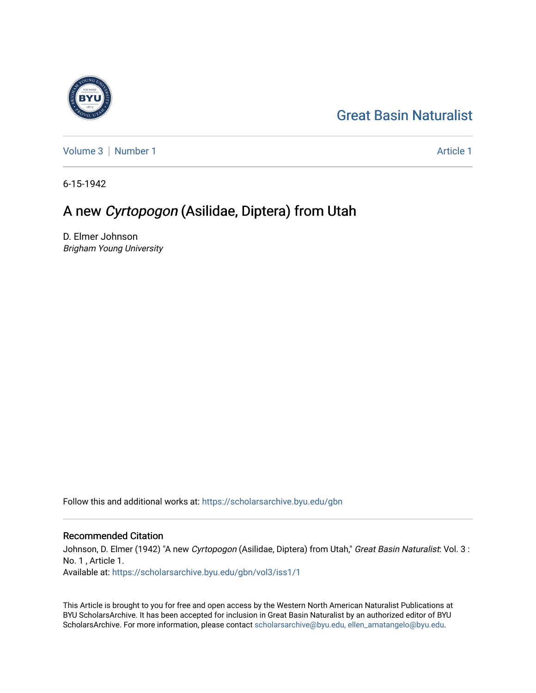## [Great Basin Naturalist](https://scholarsarchive.byu.edu/gbn)

[Volume 3](https://scholarsarchive.byu.edu/gbn/vol3) | [Number 1](https://scholarsarchive.byu.edu/gbn/vol3/iss1) Article 1

6-15-1942

## A new Cyrtopogon (Asilidae, Diptera) from Utah

D. Elmer Johnson Brigham Young University

Follow this and additional works at: [https://scholarsarchive.byu.edu/gbn](https://scholarsarchive.byu.edu/gbn?utm_source=scholarsarchive.byu.edu%2Fgbn%2Fvol3%2Fiss1%2F1&utm_medium=PDF&utm_campaign=PDFCoverPages) 

### Recommended Citation

Johnson, D. Elmer (1942) "A new Cyrtopogon (Asilidae, Diptera) from Utah," Great Basin Naturalist: Vol. 3 : No. 1 , Article 1. Available at: [https://scholarsarchive.byu.edu/gbn/vol3/iss1/1](https://scholarsarchive.byu.edu/gbn/vol3/iss1/1?utm_source=scholarsarchive.byu.edu%2Fgbn%2Fvol3%2Fiss1%2F1&utm_medium=PDF&utm_campaign=PDFCoverPages) 

This Article is brought to you for free and open access by the Western North American Naturalist Publications at BYU ScholarsArchive. It has been accepted for inclusion in Great Basin Naturalist by an authorized editor of BYU ScholarsArchive. For more information, please contact [scholarsarchive@byu.edu, ellen\\_amatangelo@byu.edu.](mailto:scholarsarchive@byu.edu,%20ellen_amatangelo@byu.edu)

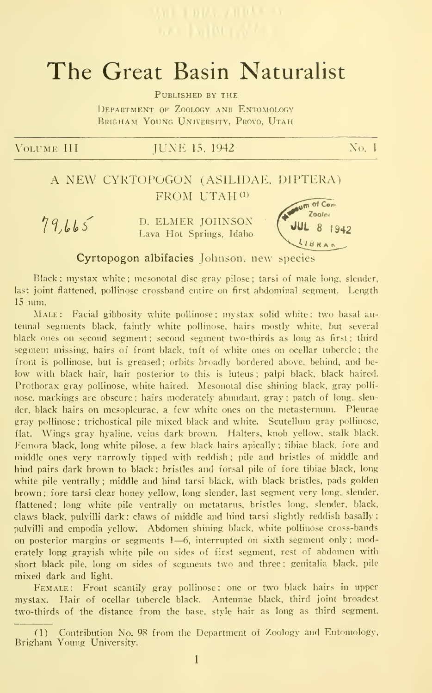# The Great Basin Naturalist

PUBLISHED BY THE

Department of Zoology and Entomology Brigham Young University, Provo, Utah

### VOLUME III JUNE 15, 1942 No. 1

#### A NEW CYRTOPOGON (ASILIDAE. DIPTERA) FROM UTAH<sup>(1)</sup>

 $79.665$ 

D. ELMER JOHNSON Lava Hot Springs, Idaho



Cyrtopogon albifacies Johnson, new species

Black ; mystax white ; mesonotal disc gray pilose ; tarsi of male long, slender, last joint flattened, pollinose crossband entire on first abdominal segment. Length <sup>15</sup> mm.

MALE: Facial gibbosity white pollinose; mystax solid white; two basal antennal segments black, faintly white pollinose, hairs mostly white, but several black ones on second segment ; second segment two-thirds as long as first ; third segment missing, hairs of front black, tuft of white ones on ocellar tubercle ; the front is pollinose, but is greased ; orbits broadly bordered above, behind, and be low with black hair, hair posterior to this is luteus; palpi black, black haired. Prothorax gray pollinose, white haired. Mesonotal disc shining black, gray polli nose, markings are obscure ; hairs moderately abundant, gray ; patch of long, slender, black hairs on mesopleurae, a few white ones on the metasternum. Pleurae gray pollinose ; trichostical pile mixed black and white. Scutellum gray pollinose, flat. Wings gray hyaline, veins dark brown. Halters, knob yellow, stalk black. Femura black, long white pilose, a few black hairs apically ; tibiae black, fore and middle ones very narrowly tipped with reddish ; pile and bristles of middle and hind pairs dark brown to black; bristles and forsal pile of fore tibiae black, long white pile ventrally ; middle and hind tarsi black, with black bristles, pads golden brown ; fore tarsi clear honey yellow, long slender, last segment very long, slender, flattened ; long white pile ventrally on metatarus, bristles long, slender, black, claws black, pulvilli dark; claws of middle and hind tarsi slightly reddish basally ; pulvilli and empodia yellow. Abdomen shining black, white pollinose cross-bands on posterior rnargins or segments <sup>1</sup>—6, interrupted on sixth segment only ; moderately long grayish white pile on sides of first segment, rest of abdomen witli short black pile, long on sides of segments two and three ; genitalia black, pile mixed dark and light.

Female: Front scantily gray pollinose; one or two black hairs in upper mystax. Hair of ocellar tubercle black. Antennae black, third joint broadest two-thirds of the distance from the base, style hair as long as third segment.

<sup>(1)</sup> Contribution No. 98 from the Department of Zoologv' and Entomology, Brigham Young University.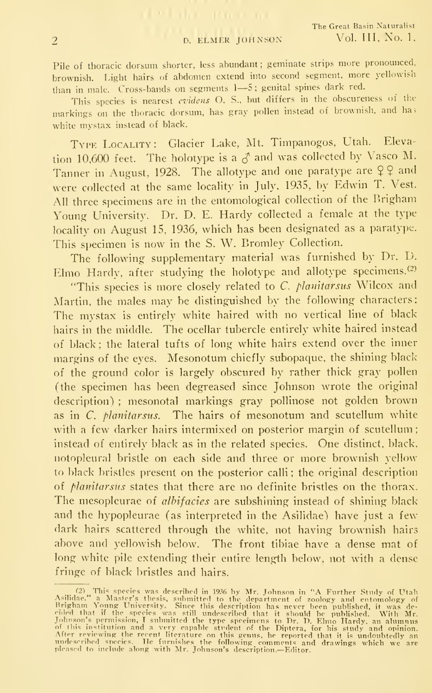Pile of thoracic dorsum shorter, less abundant; geminate strips more pronounced, brownish. Light hairs of abdomen extend into second segment, more yellowish than in male. Cross-bands on segments 1—5 ; genital spines dark red.

This species is nearest cvidens O. S., but differs in the obscureness of the markings on the thoracic dorsum, has gray pollen instead of brownish, and ha; white mystax instead of black.

Type Locality: Glacier Lake, Mt. Timpanogos, Utah. Elevation 10,600 feet. The holotype is a  $\delta$  and was collected by Vasco M. Tanner in August, 1928. The allotype and one paratype are  $22$  and were collected at the same locality in July, 1935, by Edwin T. Vest. All three specimens are in the entomological collection of the Brigham Young University. Dr. D. E. Hardy collected a female at the type locality on August 15, 1936, which has been designated as a paratype. This specimen is now in the S. W. Bromley Collection.

The following supplementary material was furnished by Dr. D. Elmo Hardy, after studying the holotype and allotype specimens.<sup>(2)</sup>

"This species is more closely related to C. planitarsus Wilcox and Martin, the males may be distinguished by the following characters: The mystax is entirely white haired with no vertical line of black hairs in the middle. The ocellar tubercle entirely white haired instead of black; the lateral tufts of long white hairs extend over the inner margins of the eyes. Mesonotum chiefly subopaque, the shining black of the ground color is largely obscured by rather thick gray pollen (the specimen has been degreased since Johnson wrote the original description) ; mesonotal markings gray pollinose not golden brown as in  $C$ . *planitarsus*. The hairs of mesonotum and scutellum white with a few darker hairs intermixed on posterior margin of scutellum; instead of entirely black as in the related species. One distinct, black, notopleural bristle on each side and three or more brownish yellow to black bristles present on the posterior calli ; the original description of planitarsus states that there are no definite bristles on the thorax. The mesopleurae of *albifacies* are subshining instead of shining black and the hypopleurae (as interpreted in the Asilidae) have just a few dark hairs scattered through the white, not having brownish hairs above and yellowish below. The front tibiae have a dense mat of long white pile extending their entire length below, not with a dense fringe of black bristles and hairs.

<sup>(2)</sup> This species was described in 1936 by Mr. Johnson in "A Further Study of Utah<br>Asilidae," a Master's thesis, submitted to the department of zoology and entomology of<br>Brigham Young University. Since this description has